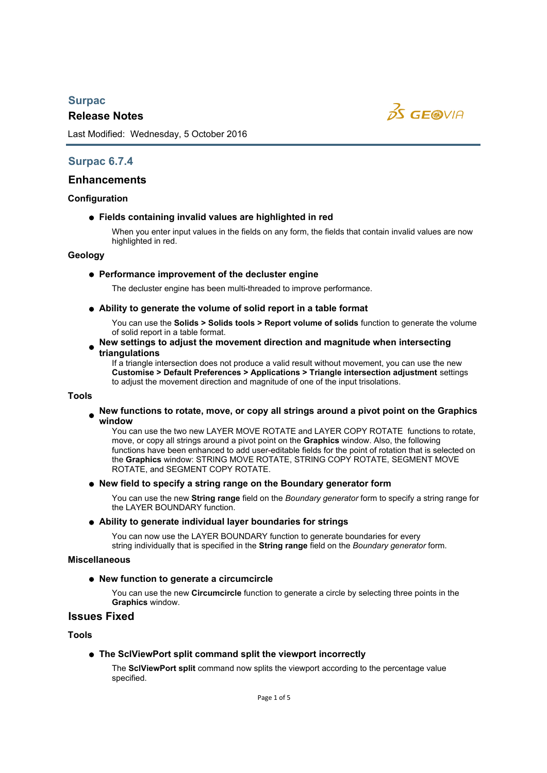# *Surpac*

# *Release Notes*



Last Modified: Wednesday, 5 October 2016

# *Surpac 6.7.4*

# *Enhancements*

# *Configuration*

# *Fields containing invalid values are highlighted in red*

When you enter input values in the fields on any form, the fields that contain invalid values are now highlighted in red.

# *Geology*

# *Performance improvement of the decluster engine*

The decluster engine has been multi-threaded to improve performance.

*Ability to generate the volume of solid report in a table format*

You can use the *Solids > Solids tools > Report volume of solids* function to generate the volume of solid report in a table format.

# ● New settings to adjust the movement direction and magnitude when intersecting *triangulations*

If a triangle intersection does not produce a valid result without movement, you can use the new *Customise > Default Preferences > Applications > Triangle intersection adjustment* settings to adjust the movement direction and magnitude of one of the input trisolations.

# *Tools*

*New functions to rotate, move, or copy all strings around a pivot point on the Graphics window*

You can use the two new LAYER MOVE ROTATE and LAYER COPY ROTATE functions to rotate, move, or copy all strings around a pivot point on the *Graphics* window. Also, the following functions have been enhanced to add user-editable fields for the point of rotation that is selected on the *Graphics* window: STRING MOVE ROTATE, STRING COPY ROTATE, SEGMENT MOVE ROTATE, and SEGMENT COPY ROTATE.

# *New field to specify a string range on the Boundary generator form*

You can use the new *String range* field on the *Boundary generator* form to specify a string range for the LAYER BOUNDARY function.

# *Ability to generate individual layer boundaries for strings*

You can now use the LAYER BOUNDARY function to generate boundaries for every string individually that is specified in the *String range* field on the *Boundary generator* form.

# *Miscellaneous*

# *New function to generate a circumcircle*

You can use the new *Circumcircle* function to generate a circle by selecting three points in the *Graphics* window.

# *Issues Fixed*

*Tools*

# *The SclViewPort split command split the viewport incorrectly*

The *SclViewPort split* command now splits the viewport according to the percentage value specified.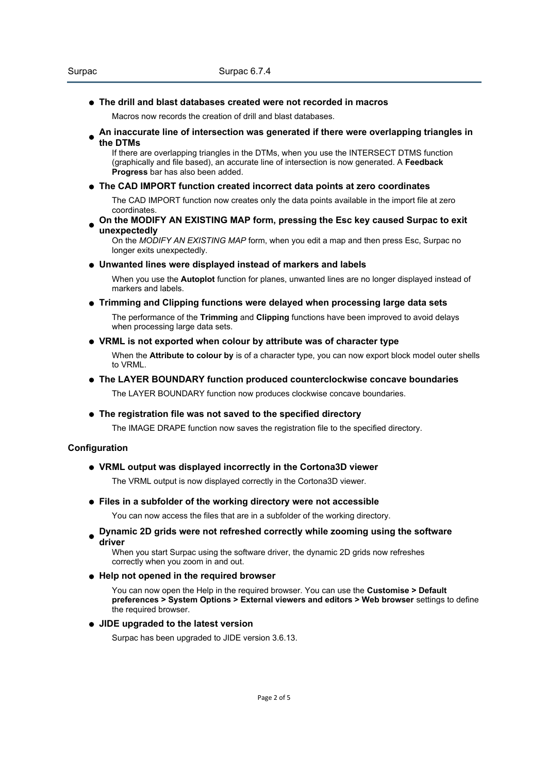# *The drill and blast databases created were not recorded in macros*

Macros now records the creation of drill and blast databases.

*An inaccurate line of intersection was generated if there were overlapping triangles in the DTMs*

If there are overlapping triangles in the DTMs, when you use the INTERSECT DTMS function (graphically and file based), an accurate line of intersection is now generated. A *Feedback Progress* bar has also been added.

# *The CAD IMPORT function created incorrect data points at zero coordinates*

The CAD IMPORT function now creates only the data points available in the import file at zero coordinates.

### *On the MODIFY AN EXISTING MAP form, pressing the Esc key caused Surpac to exit unexpectedly*

On the *MODIFY AN EXISTING MAP* form, when you edit a map and then press Esc, Surpac no longer exits unexpectedly.

*Unwanted lines were displayed instead of markers and labels*

When you use the *Autoplot* function for planes, unwanted lines are no longer displayed instead of markers and labels.

# *Trimming and Clipping functions were delayed when processing large data sets*

The performance of the *Trimming* and *Clipping* functions have been improved to avoid delays when processing large data sets.

# *VRML is not exported when colour by attribute was of character type*

When the *Attribute to colour by* is of a character type, you can now export block model outer shells to VRML.

# *The LAYER BOUNDARY function produced counterclockwise concave boundaries*

The LAYER BOUNDARY function now produces clockwise concave boundaries.

# *The registration file was not saved to the specified directory*

The IMAGE DRAPE function now saves the registration file to the specified directory.

# *Configuration*

# *VRML output was displayed incorrectly in the Cortona3D viewer*

The VRML output is now displayed correctly in the Cortona3D viewer.

# *Files in a subfolder of the working directory were not accessible*

You can now access the files that are in a subfolder of the working directory.

*Dynamic 2D grids were not refreshed correctly while zooming using the software driver*

When you start Surpac using the software driver, the dynamic 2D grids now refreshes correctly when you zoom in and out.

# *Help not opened in the required browser*

You can now open the Help in the required browser. You can use the *Customise > Default preferences > System Options > External viewers and editors > Web browser* settings to define the required browser.

# *JIDE upgraded to the latest version*

Surpac has been upgraded to JIDE version 3.6.13.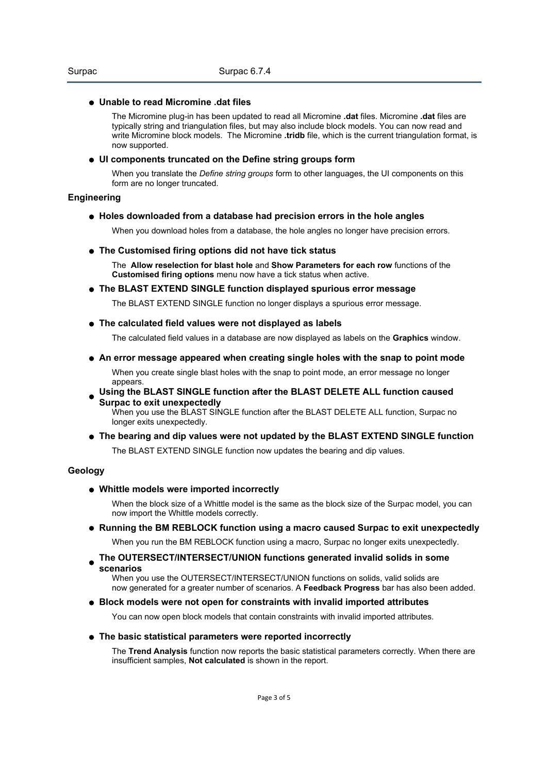### *Unable to read Micromine .dat files*

The Micromine plug-in has been updated to read all Micromine *.dat* files. Micromine *.dat* files are typically string and triangulation files, but may also include block models. You can now read and write Micromine block models. The Micromine *.tridb* file, which is the current triangulation format, is now supported.

#### *UI components truncated on the Define string groups form*

When you translate the *Define string groups* form to other languages, the UI components on this form are no longer truncated.

### *Engineering*

#### *Holes downloaded from a database had precision errors in the hole angles*

When you download holes from a database, the hole angles no longer have precision errors.

*The Customised firing options did not have tick status*

The *Allow reselection for blast hole* and *Show Parameters for each row* functions of the *Customised firing options* menu now have a tick status when active.

*The BLAST EXTEND SINGLE function displayed spurious error message*

The BLAST EXTEND SINGLE function no longer displays a spurious error message.

*The calculated field values were not displayed as labels*

The calculated field values in a database are now displayed as labels on the *Graphics* window.

*An error message appeared when creating single holes with the snap to point mode*

When you create single blast holes with the snap to point mode, an error message no longer appears.

*Using the BLAST SINGLE function after the BLAST DELETE ALL function caused Surpac to exit unexpectedly*

When you use the BLAST SINGLE function after the BLAST DELETE ALL function, Surpac no longer exits unexpectedly.

*The bearing and dip values were not updated by the BLAST EXTEND SINGLE function* The BLAST EXTEND SINGLE function now updates the bearing and dip values.

# *Geology*

*Whittle models were imported incorrectly*

When the block size of a Whittle model is the same as the block size of the Surpac model, you can now import the Whittle models correctly.

*Running the BM REBLOCK function using a macro caused Surpac to exit unexpectedly*

When you run the BM REBLOCK function using a macro, Surpac no longer exits unexpectedly.

*The OUTERSECT/INTERSECT/UNION functions generated invalid solids in some scenarios*

When you use the OUTERSECT/INTERSECT/UNION functions on solids, valid solids are now generated for a greater number of scenarios. A *Feedback Progress* bar has also been added.

*Block models were not open for constraints with invalid imported attributes*

You can now open block models that contain constraints with invalid imported attributes.

*The basic statistical parameters were reported incorrectly*

The *Trend Analysis* function now reports the basic statistical parameters correctly. When there are insufficient samples, *Not calculated* is shown in the report.